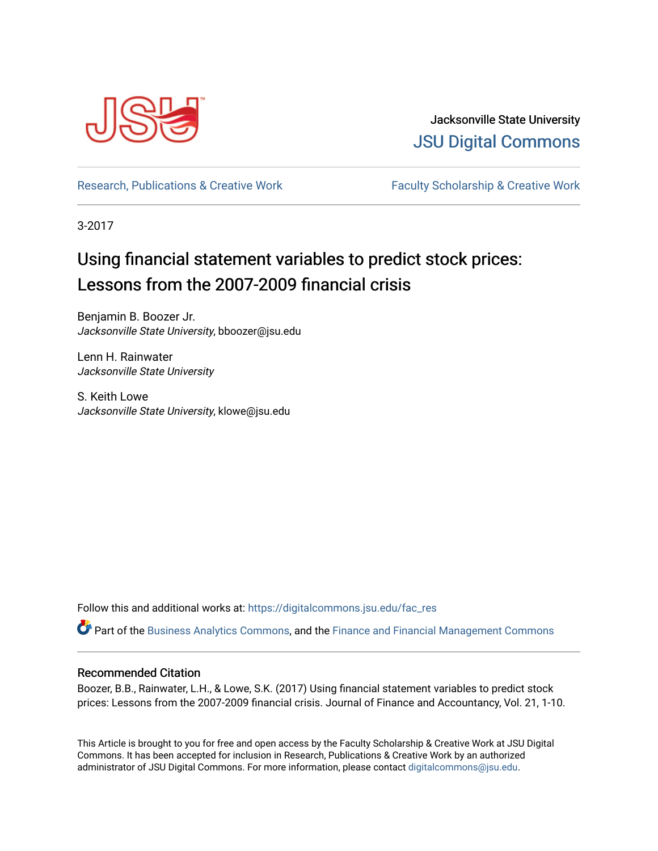

Jacksonville State University [JSU Digital Commons](https://digitalcommons.jsu.edu/) 

[Research, Publications & Creative Work](https://digitalcommons.jsu.edu/fac_res) Faculty Scholarship & Creative Work

3-2017

# Using financial statement variables to predict stock prices: Lessons from the 2007-2009 financial crisis

Benjamin B. Boozer Jr. Jacksonville State University, bboozer@jsu.edu

Lenn H. Rainwater Jacksonville State University

S. Keith Lowe Jacksonville State University, klowe@jsu.edu

Follow this and additional works at: [https://digitalcommons.jsu.edu/fac\\_res](https://digitalcommons.jsu.edu/fac_res?utm_source=digitalcommons.jsu.edu%2Ffac_res%2F140&utm_medium=PDF&utm_campaign=PDFCoverPages) 

Part of the [Business Analytics Commons](https://network.bepress.com/hgg/discipline/1398?utm_source=digitalcommons.jsu.edu%2Ffac_res%2F140&utm_medium=PDF&utm_campaign=PDFCoverPages), and the [Finance and Financial Management Commons](https://network.bepress.com/hgg/discipline/631?utm_source=digitalcommons.jsu.edu%2Ffac_res%2F140&utm_medium=PDF&utm_campaign=PDFCoverPages) 

#### Recommended Citation

Boozer, B.B., Rainwater, L.H., & Lowe, S.K. (2017) Using financial statement variables to predict stock prices: Lessons from the 2007-2009 financial crisis. Journal of Finance and Accountancy, Vol. 21, 1-10.

This Article is brought to you for free and open access by the Faculty Scholarship & Creative Work at JSU Digital Commons. It has been accepted for inclusion in Research, Publications & Creative Work by an authorized administrator of JSU Digital Commons. For more information, please contact [digitalcommons@jsu.edu.](mailto:digitalcommons@jsu.edu)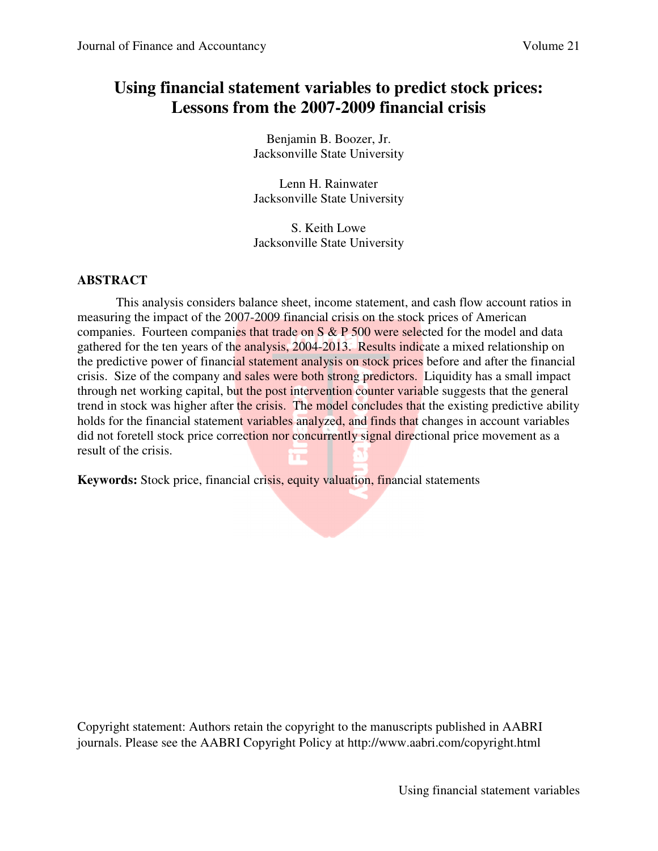# **Using financial statement variables to predict stock prices: Lessons from the 2007-2009 financial crisis**

Benjamin B. Boozer, Jr. Jacksonville State University

Lenn H. Rainwater Jacksonville State University

S. Keith Lowe Jacksonville State University

### **ABSTRACT**

 This analysis considers balance sheet, income statement, and cash flow account ratios in measuring the impact of the 2007-2009 financial crisis on the stock prices of American companies. Fourteen companies that trade on S & P 500 were selected for the model and data gathered for the ten years of the analysis, 2004-2013. Results indicate a mixed relationship on the predictive power of financial statement analysis on stock prices before and after the financial crisis. Size of the company and sales were both strong predictors. Liquidity has a small impact through net working capital, but the post intervention counter variable suggests that the general trend in stock was higher after the crisis. The model concludes that the existing predictive ability holds for the financial statement variables analyzed, and finds that changes in account variables did not foretell stock price correction nor concurrently signal directional price movement as a result of the crisis. 'n

**Keywords:** Stock price, financial crisis, equity valuation, financial statements

Copyright statement: Authors retain the copyright to the manuscripts published in AABRI journals. Please see the AABRI Copyright Policy at http://www.aabri.com/copyright.html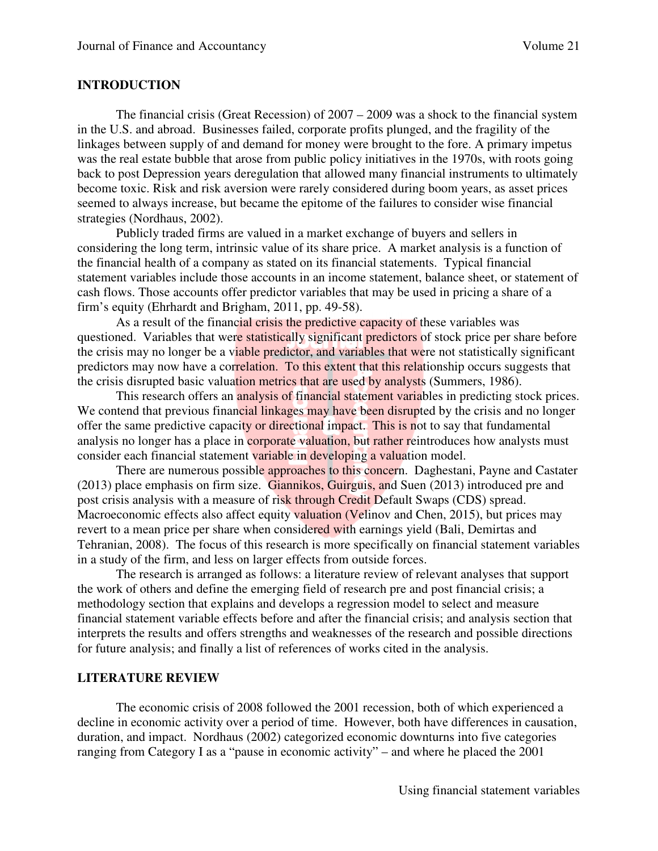#### **INTRODUCTION**

The financial crisis (Great Recession) of  $2007 - 2009$  was a shock to the financial system in the U.S. and abroad. Businesses failed, corporate profits plunged, and the fragility of the linkages between supply of and demand for money were brought to the fore. A primary impetus was the real estate bubble that arose from public policy initiatives in the 1970s, with roots going back to post Depression years deregulation that allowed many financial instruments to ultimately become toxic. Risk and risk aversion were rarely considered during boom years, as asset prices seemed to always increase, but became the epitome of the failures to consider wise financial strategies (Nordhaus, 2002).

Publicly traded firms are valued in a market exchange of buyers and sellers in considering the long term, intrinsic value of its share price. A market analysis is a function of the financial health of a company as stated on its financial statements. Typical financial statement variables include those accounts in an income statement, balance sheet, or statement of cash flows. Those accounts offer predictor variables that may be used in pricing a share of a firm's equity (Ehrhardt and Brigham, 2011, pp. 49-58).

As a result of the financial crisis the predictive capacity of these variables was questioned. Variables that were statistically significant predictors of stock price per share before the crisis may no longer be a viable predictor, and variables that were not statistically significant predictors may now have a correlation. To this extent that this relationship occurs suggests that the crisis disrupted basic valuation metrics that are used by analysts (Summers, 1986).

This research offers an analysis of financial statement variables in predicting stock prices. We contend that previous financial linkages may have been disrupted by the crisis and no longer offer the same predictive capacity or directional impact. This is not to say that fundamental analysis no longer has a place in corporate valuation, but rather reintroduces how analysts must consider each financial statement variable in developing a valuation model.

There are numerous possible approaches to this concern. Daghestani, Payne and Castater (2013) place emphasis on firm size. Giannikos, Guirguis, and Suen (2013) introduced pre and post crisis analysis with a measure of risk through Credit Default Swaps (CDS) spread. Macroeconomic effects also affect equity valuation (Velinov and Chen, 2015), but prices may revert to a mean price per share when considered with earnings yield (Bali, Demirtas and Tehranian, 2008). The focus of this research is more specifically on financial statement variables in a study of the firm, and less on larger effects from outside forces.

The research is arranged as follows: a literature review of relevant analyses that support the work of others and define the emerging field of research pre and post financial crisis; a methodology section that explains and develops a regression model to select and measure financial statement variable effects before and after the financial crisis; and analysis section that interprets the results and offers strengths and weaknesses of the research and possible directions for future analysis; and finally a list of references of works cited in the analysis.

#### **LITERATURE REVIEW**

The economic crisis of 2008 followed the 2001 recession, both of which experienced a decline in economic activity over a period of time. However, both have differences in causation, duration, and impact. Nordhaus (2002) categorized economic downturns into five categories ranging from Category I as a "pause in economic activity" – and where he placed the 2001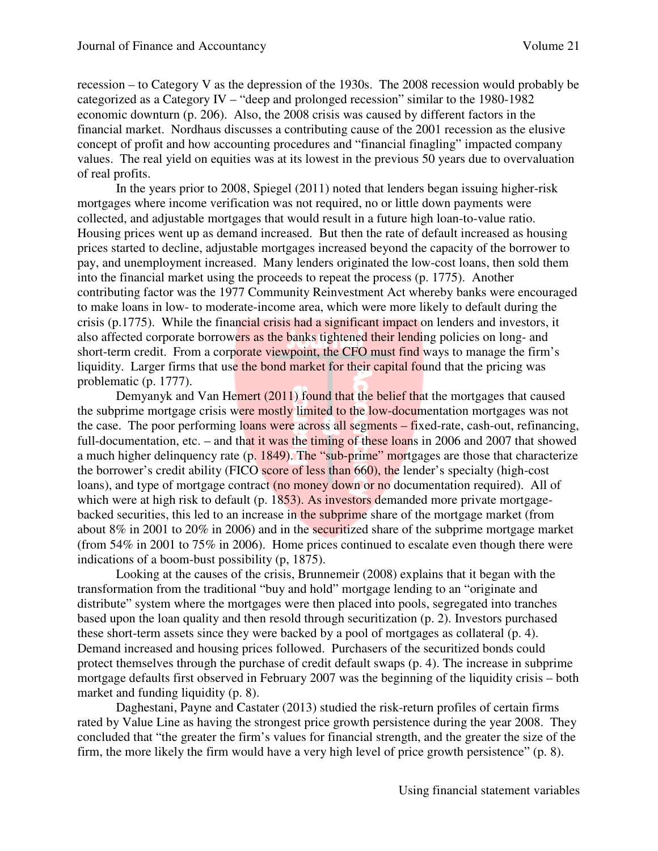recession – to Category V as the depression of the 1930s. The 2008 recession would probably be categorized as a Category IV – "deep and prolonged recession" similar to the 1980-1982 economic downturn (p. 206). Also, the 2008 crisis was caused by different factors in the financial market. Nordhaus discusses a contributing cause of the 2001 recession as the elusive concept of profit and how accounting procedures and "financial finagling" impacted company values. The real yield on equities was at its lowest in the previous 50 years due to overvaluation of real profits.

In the years prior to 2008, Spiegel (2011) noted that lenders began issuing higher-risk mortgages where income verification was not required, no or little down payments were collected, and adjustable mortgages that would result in a future high loan-to-value ratio. Housing prices went up as demand increased. But then the rate of default increased as housing prices started to decline, adjustable mortgages increased beyond the capacity of the borrower to pay, and unemployment increased. Many lenders originated the low-cost loans, then sold them into the financial market using the proceeds to repeat the process (p. 1775). Another contributing factor was the 1977 Community Reinvestment Act whereby banks were encouraged to make loans in low- to moderate-income area, which were more likely to default during the crisis (p.1775). While the financial crisis had a significant impact on lenders and investors, it also affected corporate borrowers as the banks tightened their lending policies on long- and short-term credit. From a corporate viewpoint, the CFO must find ways to manage the firm's liquidity. Larger firms that use the bond market for their capital found that the pricing was problematic (p. 1777).

Demyanyk and Van Hemert (2011) found that the belief that the mortgages that caused the subprime mortgage crisis were mostly limited to the low-documentation mortgages was not the case. The poor performing loans were across all segments – fixed-rate, cash-out, refinancing, full-documentation, etc. – and that it was the timing of these loans in 2006 and 2007 that showed a much higher delinquency rate (p. 1849). The "sub-prime" mortgages are those that characterize the borrower's credit ability (FICO score of less than 660), the lender's specialty (high-cost loans), and type of mortgage contract (no money down or no documentation required). All of which were at high risk to default (p. 1853). As investors demanded more private mortgagebacked securities, this led to an increase in the subprime share of the mortgage market (from about 8% in 2001 to 20% in 2006) and in the securitized share of the subprime mortgage market (from 54% in 2001 to 75% in 2006). Home prices continued to escalate even though there were indications of a boom-bust possibility (p, 1875).

Looking at the causes of the crisis, Brunnemeir (2008) explains that it began with the transformation from the traditional "buy and hold" mortgage lending to an "originate and distribute" system where the mortgages were then placed into pools, segregated into tranches based upon the loan quality and then resold through securitization (p. 2). Investors purchased these short-term assets since they were backed by a pool of mortgages as collateral (p. 4). Demand increased and housing prices followed. Purchasers of the securitized bonds could protect themselves through the purchase of credit default swaps (p. 4). The increase in subprime mortgage defaults first observed in February 2007 was the beginning of the liquidity crisis – both market and funding liquidity (p. 8).

Daghestani, Payne and Castater (2013) studied the risk-return profiles of certain firms rated by Value Line as having the strongest price growth persistence during the year 2008. They concluded that "the greater the firm's values for financial strength, and the greater the size of the firm, the more likely the firm would have a very high level of price growth persistence" (p. 8).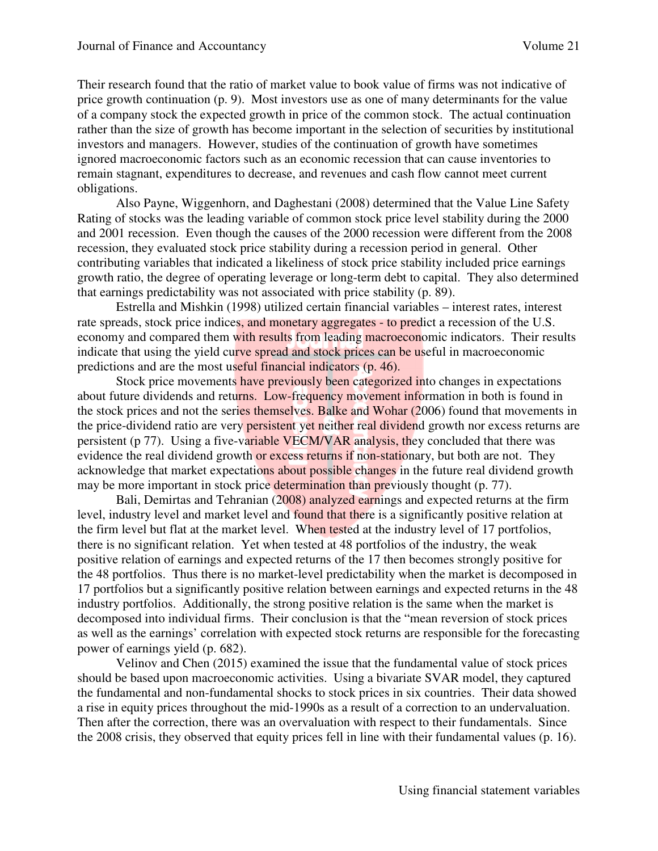Their research found that the ratio of market value to book value of firms was not indicative of price growth continuation (p. 9). Most investors use as one of many determinants for the value of a company stock the expected growth in price of the common stock. The actual continuation rather than the size of growth has become important in the selection of securities by institutional investors and managers. However, studies of the continuation of growth have sometimes ignored macroeconomic factors such as an economic recession that can cause inventories to remain stagnant, expenditures to decrease, and revenues and cash flow cannot meet current obligations.

Also Payne, Wiggenhorn, and Daghestani (2008) determined that the Value Line Safety Rating of stocks was the leading variable of common stock price level stability during the 2000 and 2001 recession. Even though the causes of the 2000 recession were different from the 2008 recession, they evaluated stock price stability during a recession period in general. Other contributing variables that indicated a likeliness of stock price stability included price earnings growth ratio, the degree of operating leverage or long-term debt to capital. They also determined that earnings predictability was not associated with price stability (p. 89).

Estrella and Mishkin (1998) utilized certain financial variables – interest rates, interest rate spreads, stock price indices, and monetary aggregates - to predict a recession of the U.S. economy and compared them with results from leading macroeconomic indicators. Their results indicate that using the yield curve spread and stock prices can be useful in macroeconomic predictions and are the most useful financial indicators (p. 46).

Stock price movements have previously been categorized into changes in expectations about future dividends and returns. Low-frequency movement information in both is found in the stock prices and not the series themselves. Balke and Wohar (2006) found that movements in the price-dividend ratio are very persistent yet neither real dividend growth nor excess returns are persistent (p 77). Using a five-variable VECM/VAR analysis, they concluded that there was evidence the real dividend growth or excess returns if non-stationary, but both are not. They acknowledge that market expectations about possible changes in the future real dividend growth may be more important in stock price determination than previously thought (p. 77).

Bali, Demirtas and Tehranian (2008) analyzed earnings and expected returns at the firm level, industry level and market level and found that there is a significantly positive relation at the firm level but flat at the market level. When tested at the industry level of 17 portfolios, there is no significant relation. Yet when tested at 48 portfolios of the industry, the weak positive relation of earnings and expected returns of the 17 then becomes strongly positive for the 48 portfolios. Thus there is no market-level predictability when the market is decomposed in 17 portfolios but a significantly positive relation between earnings and expected returns in the 48 industry portfolios. Additionally, the strong positive relation is the same when the market is decomposed into individual firms. Their conclusion is that the "mean reversion of stock prices as well as the earnings' correlation with expected stock returns are responsible for the forecasting power of earnings yield (p. 682).

Velinov and Chen (2015) examined the issue that the fundamental value of stock prices should be based upon macroeconomic activities. Using a bivariate SVAR model, they captured the fundamental and non-fundamental shocks to stock prices in six countries. Their data showed a rise in equity prices throughout the mid-1990s as a result of a correction to an undervaluation. Then after the correction, there was an overvaluation with respect to their fundamentals. Since the 2008 crisis, they observed that equity prices fell in line with their fundamental values (p. 16).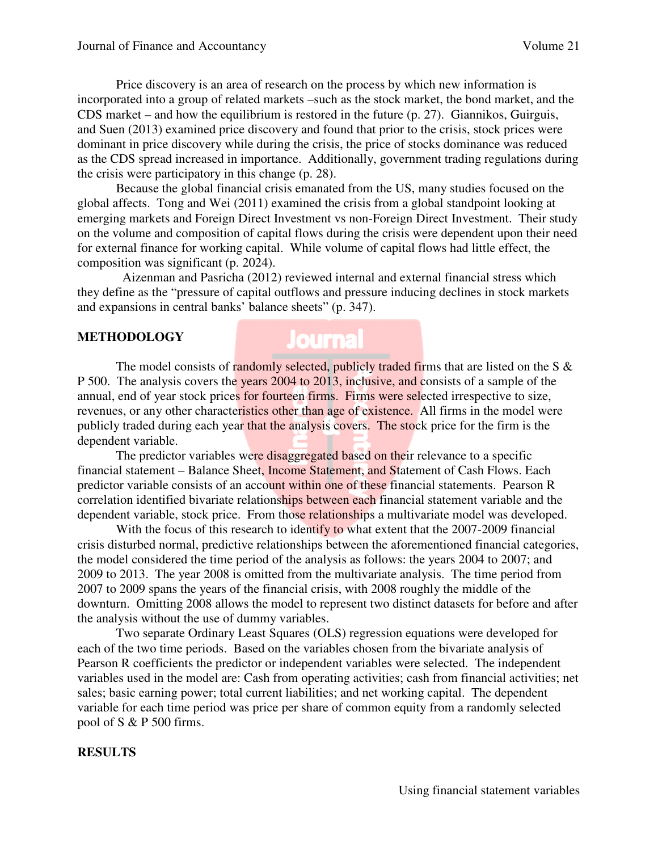Price discovery is an area of research on the process by which new information is incorporated into a group of related markets –such as the stock market, the bond market, and the CDS market – and how the equilibrium is restored in the future (p. 27). Giannikos, Guirguis, and Suen (2013) examined price discovery and found that prior to the crisis, stock prices were dominant in price discovery while during the crisis, the price of stocks dominance was reduced as the CDS spread increased in importance. Additionally, government trading regulations during the crisis were participatory in this change (p. 28).

Because the global financial crisis emanated from the US, many studies focused on the global affects. Tong and Wei (2011) examined the crisis from a global standpoint looking at emerging markets and Foreign Direct Investment vs non-Foreign Direct Investment. Their study on the volume and composition of capital flows during the crisis were dependent upon their need for external finance for working capital. While volume of capital flows had little effect, the composition was significant (p. 2024).

 Aizenman and Pasricha (2012) reviewed internal and external financial stress which they define as the "pressure of capital outflows and pressure inducing declines in stock markets and expansions in central banks' balance sheets" (p. 347).

#### **METHODOLOGY**

# **Journal**

The model consists of randomly selected, publicly traded firms that are listed on the S  $\&$ P 500. The analysis covers the years 2004 to 2013, inclusive, and consists of a sample of the annual, end of year stock prices for fourteen firms. Firms were selected irrespective to size, revenues, or any other characteristics other than age of existence. All firms in the model were publicly traded during each year that the analysis covers. The stock price for the firm is the dependent variable.

The predictor variables were disaggregated based on their relevance to a specific financial statement – Balance Sheet, Income Statement, and Statement of Cash Flows. Each predictor variable consists of an account within one of these financial statements. Pearson R correlation identified bivariate relationships between each financial statement variable and the dependent variable, stock price. From those relationships a multivariate model was developed.

With the focus of this research to identify to what extent that the 2007-2009 financial crisis disturbed normal, predictive relationships between the aforementioned financial categories, the model considered the time period of the analysis as follows: the years 2004 to 2007; and 2009 to 2013. The year 2008 is omitted from the multivariate analysis. The time period from 2007 to 2009 spans the years of the financial crisis, with 2008 roughly the middle of the downturn. Omitting 2008 allows the model to represent two distinct datasets for before and after the analysis without the use of dummy variables.

Two separate Ordinary Least Squares (OLS) regression equations were developed for each of the two time periods. Based on the variables chosen from the bivariate analysis of Pearson R coefficients the predictor or independent variables were selected. The independent variables used in the model are: Cash from operating activities; cash from financial activities; net sales; basic earning power; total current liabilities; and net working capital. The dependent variable for each time period was price per share of common equity from a randomly selected pool of S & P 500 firms.

#### **RESULTS**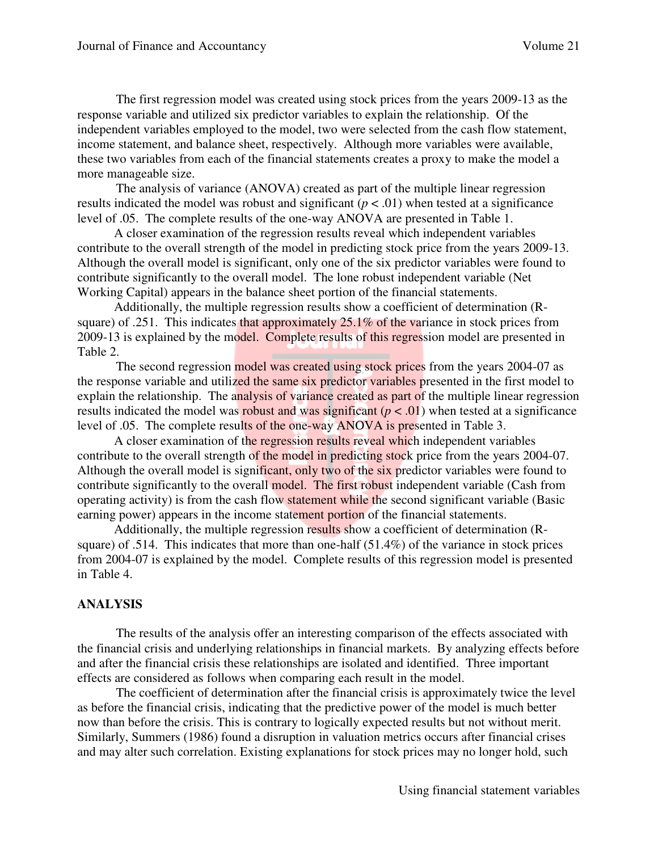The first regression model was created using stock prices from the years 2009-13 as the response variable and utilized six predictor variables to explain the relationship. Of the independent variables employed to the model, two were selected from the cash flow statement, income statement, and balance sheet, respectively. Although more variables were available, these two variables from each of the financial statements creates a proxy to make the model a more manageable size.

 The analysis of variance (ANOVA) created as part of the multiple linear regression results indicated the model was robust and significant  $(p < .01)$  when tested at a significance level of .05. The complete results of the one-way ANOVA are presented in Table 1.

A closer examination of the regression results reveal which independent variables contribute to the overall strength of the model in predicting stock price from the years 2009-13. Although the overall model is significant, only one of the six predictor variables were found to contribute significantly to the overall model. The lone robust independent variable (Net Working Capital) appears in the balance sheet portion of the financial statements.

 Additionally, the multiple regression results show a coefficient of determination (Rsquare) of .251. This indicates that approximately 25.1% of the variance in stock prices from 2009-13 is explained by the model. Complete results of this regression model are presented in Table 2.

The second regression model was created using stock prices from the years 2004-07 as the response variable and utilized the same six predictor variables presented in the first model to explain the relationship. The analysis of variance created as part of the multiple linear regression results indicated the model was robust and was significant  $(p < .01)$  when tested at a significance level of .05. The complete results of the one-way ANOVA is presented in Table 3.

 A closer examination of the regression results reveal which independent variables contribute to the overall strength of the model in predicting stock price from the years 2004-07. Although the overall model is significant, only two of the six predictor variables were found to contribute significantly to the overall model. The first robust independent variable (Cash from operating activity) is from the cash flow statement while the second significant variable (Basic earning power) appears in the income statement portion of the financial statements.

 Additionally, the multiple regression results show a coefficient of determination (Rsquare) of .514. This indicates that more than one-half (51.4%) of the variance in stock prices from 2004-07 is explained by the model. Complete results of this regression model is presented in Table 4.

#### **ANALYSIS**

The results of the analysis offer an interesting comparison of the effects associated with the financial crisis and underlying relationships in financial markets. By analyzing effects before and after the financial crisis these relationships are isolated and identified. Three important effects are considered as follows when comparing each result in the model.

The coefficient of determination after the financial crisis is approximately twice the level as before the financial crisis, indicating that the predictive power of the model is much better now than before the crisis. This is contrary to logically expected results but not without merit. Similarly, Summers (1986) found a disruption in valuation metrics occurs after financial crises and may alter such correlation. Existing explanations for stock prices may no longer hold, such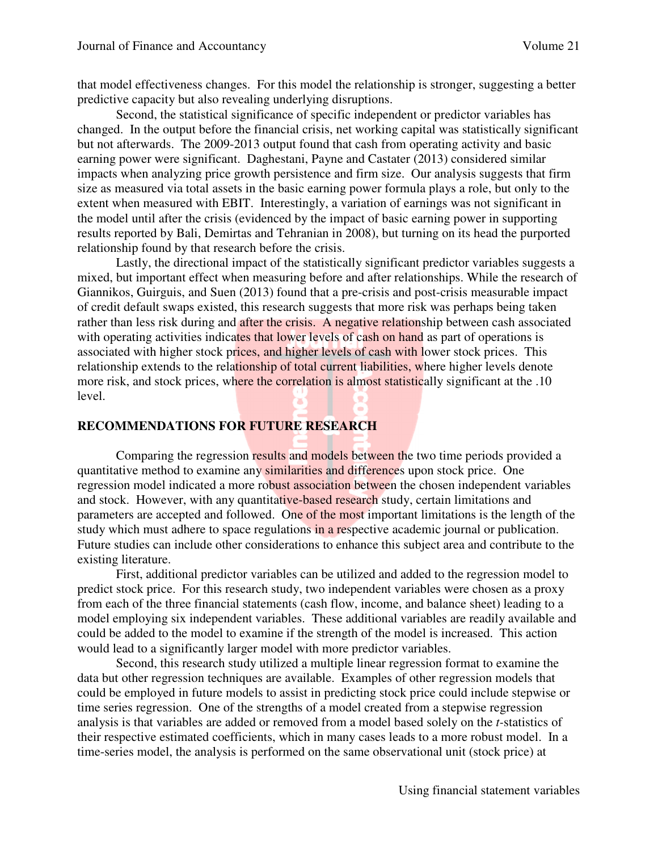that model effectiveness changes. For this model the relationship is stronger, suggesting a better predictive capacity but also revealing underlying disruptions.

Second, the statistical significance of specific independent or predictor variables has changed. In the output before the financial crisis, net working capital was statistically significant but not afterwards. The 2009-2013 output found that cash from operating activity and basic earning power were significant. Daghestani, Payne and Castater (2013) considered similar impacts when analyzing price growth persistence and firm size. Our analysis suggests that firm size as measured via total assets in the basic earning power formula plays a role, but only to the extent when measured with EBIT. Interestingly, a variation of earnings was not significant in the model until after the crisis (evidenced by the impact of basic earning power in supporting results reported by Bali, Demirtas and Tehranian in 2008), but turning on its head the purported relationship found by that research before the crisis.

Lastly, the directional impact of the statistically significant predictor variables suggests a mixed, but important effect when measuring before and after relationships. While the research of Giannikos, Guirguis, and Suen (2013) found that a pre-crisis and post-crisis measurable impact of credit default swaps existed, this research suggests that more risk was perhaps being taken rather than less risk during and after the crisis. A negative relationship between cash associated with operating activities indicates that lower levels of cash on hand as part of operations is associated with higher stock prices, and higher levels of cash with lower stock prices. This relationship extends to the relationship of total current liabilities, where higher levels denote more risk, and stock prices, where the correlation is almost statistically significant at the .10 level.

### **RECOMMENDATIONS FOR FUTURE RESEARCH**

 Comparing the regression results and models between the two time periods provided a quantitative method to examine any similarities and differences upon stock price. One regression model indicated a more robust association between the chosen independent variables and stock. However, with any quantitative-based research study, certain limitations and parameters are accepted and followed. One of the most important limitations is the length of the study which must adhere to space regulations in a respective academic journal or publication. Future studies can include other considerations to enhance this subject area and contribute to the existing literature.

 First, additional predictor variables can be utilized and added to the regression model to predict stock price. For this research study, two independent variables were chosen as a proxy from each of the three financial statements (cash flow, income, and balance sheet) leading to a model employing six independent variables. These additional variables are readily available and could be added to the model to examine if the strength of the model is increased. This action would lead to a significantly larger model with more predictor variables.

 Second, this research study utilized a multiple linear regression format to examine the data but other regression techniques are available. Examples of other regression models that could be employed in future models to assist in predicting stock price could include stepwise or time series regression. One of the strengths of a model created from a stepwise regression analysis is that variables are added or removed from a model based solely on the *t-*statistics of their respective estimated coefficients, which in many cases leads to a more robust model. In a time-series model, the analysis is performed on the same observational unit (stock price) at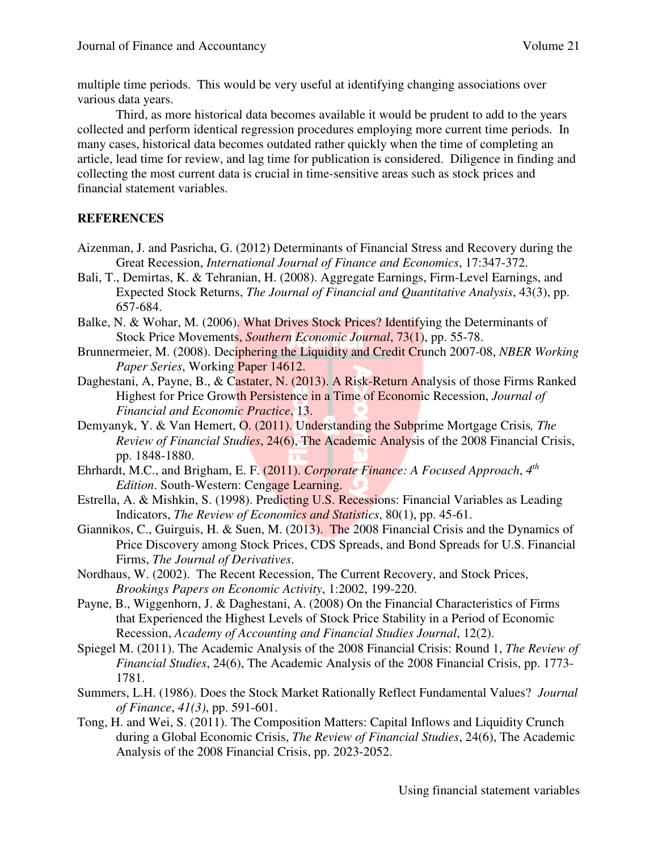multiple time periods. This would be very useful at identifying changing associations over various data years.

 Third, as more historical data becomes available it would be prudent to add to the years collected and perform identical regression procedures employing more current time periods. In many cases, historical data becomes outdated rather quickly when the time of completing an article, lead time for review, and lag time for publication is considered. Diligence in finding and collecting the most current data is crucial in time-sensitive areas such as stock prices and financial statement variables.

# **REFERENCES**

- Aizenman, J. and Pasricha, G. (2012) Determinants of Financial Stress and Recovery during the Great Recession, *International Journal of Finance and Economics*, 17:347-372.
- Bali, T., Demirtas, K. & Tehranian, H. (2008). Aggregate Earnings, Firm-Level Earnings, and Expected Stock Returns, *The Journal of Financial and Quantitative Analysis*, 43(3), pp. 657-684.
- Balke, N. & Wohar, M. (2006). What Drives Stock Prices? Identifying the Determinants of Stock Price Movements, *Southern Economic Journal*, 73(1), pp. 55-78.
- Brunnermeier, M. (2008). Deciphering the Liquidity and Credit Crunch 2007-08, *NBER Working Paper Series*, Working Paper 14612.
- Daghestani, A, Payne, B., & Castater, N. (2013). A Risk-Return Analysis of those Firms Ranked Highest for Price Growth Persistence in a Time of Economic Recession, *Journal of Financial and Economic Practice*, 13.
- Demyanyk, Y. & Van Hemert, O. (2011). Understanding the Subprime Mortgage Crisis*, The Review of Financial Studies*, 24(6), The Academic Analysis of the 2008 Financial Crisis, pp. 1848-1880.
- Ehrhardt, M.C., and Brigham, E. F. (2011). *Corporate Finance: A Focused Approach*, 4<sup>th</sup> *Edition*. South-Western: Cengage Learning.
- Estrella, A. & Mishkin, S. (1998). Predicting U.S. Recessions: Financial Variables as Leading Indicators, *The Review of Economics and Statistics*, 80(1), pp. 45-61.
- Giannikos, C., Guirguis, H. & Suen, M. (2013). The 2008 Financial Crisis and the Dynamics of Price Discovery among Stock Prices, CDS Spreads, and Bond Spreads for U.S. Financial Firms, *The Journal of Derivatives*.
- Nordhaus, W. (2002). The Recent Recession, The Current Recovery, and Stock Prices, *Brookings Papers on Economic Activity*, 1:2002, 199-220.
- Payne, B., Wiggenhorn, J. & Daghestani, A. (2008) On the Financial Characteristics of Firms that Experienced the Highest Levels of Stock Price Stability in a Period of Economic Recession, *Academy of Accounting and Financial Studies Journal*, 12(2).
- Spiegel M. (2011). The Academic Analysis of the 2008 Financial Crisis: Round 1, *The Review of Financial Studies*, 24(6), The Academic Analysis of the 2008 Financial Crisis, pp. 1773- 1781.
- Summers, L.H. (1986). Does the Stock Market Rationally Reflect Fundamental Values? *Journal of Finance*, *41(3)*, pp. 591-601.
- Tong, H. and Wei, S. (2011). The Composition Matters: Capital Inflows and Liquidity Crunch during a Global Economic Crisis, *The Review of Financial Studies*, 24(6), The Academic Analysis of the 2008 Financial Crisis, pp. 2023-2052.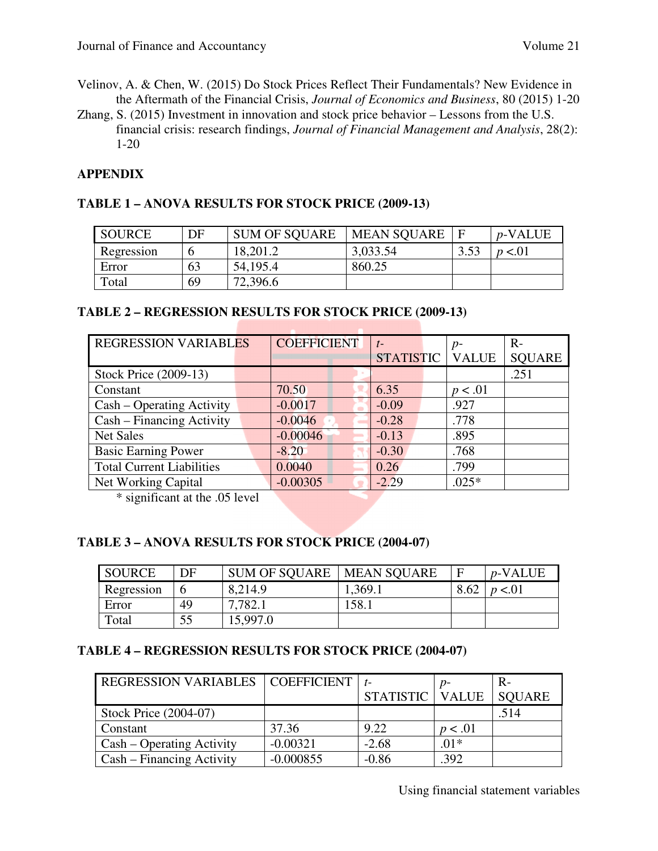- Velinov, A. & Chen, W. (2015) Do Stock Prices Reflect Their Fundamentals? New Evidence in the Aftermath of the Financial Crisis, *Journal of Economics and Business*, 80 (2015) 1-20
- Zhang, S. (2015) Investment in innovation and stock price behavior Lessons from the U.S. financial crisis: research findings, *Journal of Financial Management and Analysis*, 28(2): 1-20

# **APPENDIX**

# **TABLE 1 – ANOVA RESULTS FOR STOCK PRICE (2009-13)**

| <b>SOURCE</b> | DF | <b>SUM OF SQUARE</b> | <b>MEAN SOUARE</b> |      | <i>p</i> -VALUE |
|---------------|----|----------------------|--------------------|------|-----------------|
| Regression    |    | 18,201.2             | 3,033.54           | 3.53 | p < 01          |
| Error         | 63 | 54,195.4             | 860.25             |      |                 |
| Total         | 69 | 72,396.6             |                    |      |                 |

# **TABLE 2 – REGRESSION RESULTS FOR STOCK PRICE (2009-13)**

| <b>REGRESSION VARIABLES</b>      | <b>COEFFICIENT</b> | $t-$             | $p-$         | $R-$          |
|----------------------------------|--------------------|------------------|--------------|---------------|
|                                  |                    | <b>STATISTIC</b> | <b>VALUE</b> | <b>SQUARE</b> |
| Stock Price (2009-13)            |                    |                  |              | .251          |
| Constant                         | 70.50              | 6.35             | p < .01      |               |
| Cash – Operating Activity        | $-0.0017$          | $-0.09$          | .927         |               |
| Cash – Financing Activity        | $-0.0046$          | $-0.28$          | .778         |               |
| <b>Net Sales</b>                 | $-0.00046$         | $-0.13$          | .895         |               |
| <b>Basic Earning Power</b>       | $-8.20$            | $-0.30$          | .768         |               |
| <b>Total Current Liabilities</b> | 0.0040             | 0.26             | .799         |               |
| Net Working Capital              | $-0.00305$         | $-2.29$          | $.025*$      |               |

\* significant at the .05 level

# **TABLE 3 – ANOVA RESULTS FOR STOCK PRICE (2004-07)**

| SOURCE     | DF | <b>SUM OF SQUARE</b> | <b>MEAN SOUARE</b> |      | $p$ -VALUE |
|------------|----|----------------------|--------------------|------|------------|
| Regression |    | 8,214.9              | 1,369.1            | 8.62 | p < 01     |
| Error      | 49 | 7782.1               | 58.1               |      |            |
| Total      | 55 | 15,997.0             |                    |      |            |

# **TABLE 4 – REGRESSION RESULTS FOR STOCK PRICE (2004-07)**

| <b>REGRESSION VARIABLES</b> | COEFFICIENT |           | $p-$         | $R -$         |
|-----------------------------|-------------|-----------|--------------|---------------|
|                             |             | STATISTIC | <b>VALUE</b> | <b>SOUARE</b> |
| Stock Price (2004-07)       |             |           |              | .514          |
| Constant                    | 37.36       | 9.22      | p < .01      |               |
| Cash – Operating Activity   | $-0.00321$  | $-2.68$   | $.01*$       |               |
| Cash – Financing Activity   | $-0.000855$ | $-0.86$   | .392         |               |